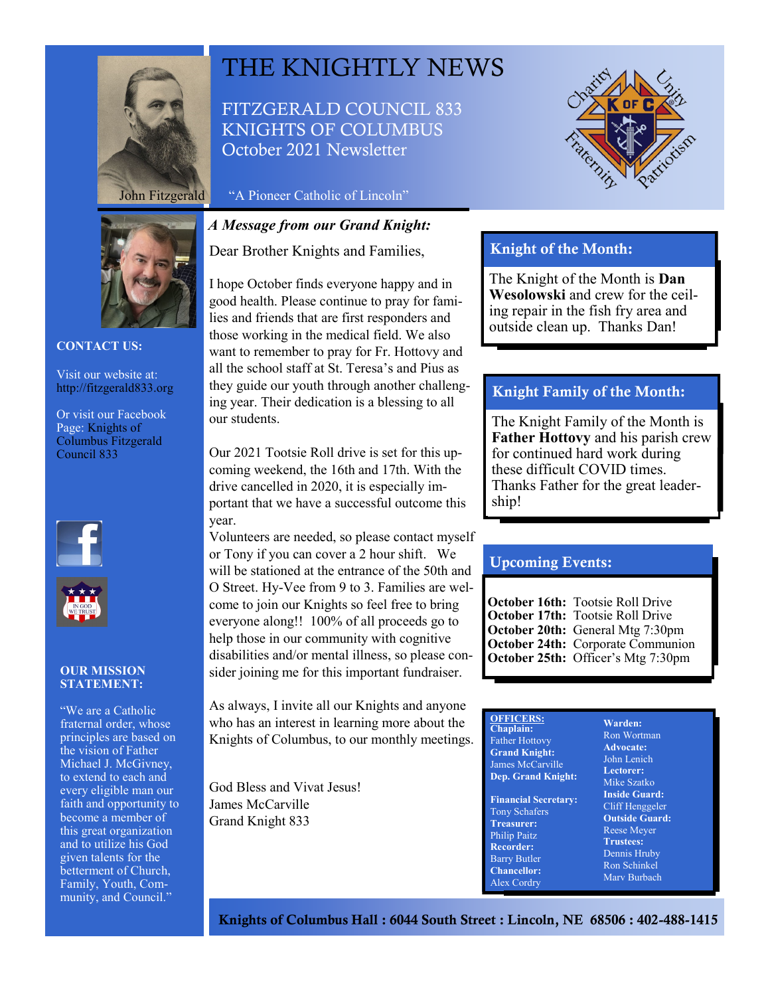



FITZGERALD COUNCIL 833 KNIGHTS OF COLUMBUS October 2021 Newsletter

John Fitzgerald "A Pioneer Catholic of Lincoln"

## *A Message from our Grand Knight:*

Dear Brother Knights and Families,

I hope October finds everyone happy and in good health. Please continue to pray for families and friends that are first responders and those working in the medical field. We also want to remember to pray for Fr. Hottovy and all the school staff at St. Teresa's and Pius as they guide our youth through another challenging year. Their dedication is a blessing to all our students.

Our 2021 Tootsie Roll drive is set for this upcoming weekend, the 16th and 17th. With the drive cancelled in 2020, it is especially important that we have a successful outcome this year.

Volunteers are needed, so please contact myself or Tony if you can cover a 2 hour shift. We will be stationed at the entrance of the 50th and O Street. Hy-Vee from 9 to 3. Families are welcome to join our Knights so feel free to bring everyone along!! 100% of all proceeds go to help those in our community with cognitive disabilities and/or mental illness, so please consider joining me for this important fundraiser.

As always, I invite all our Knights and anyone who has an interest in learning more about the Knights of Columbus, to our monthly meetings.

God Bless and Vivat Jesus! James McCarville Grand Knight 833



# Knight of the Month:

The Knight of the Month is **Dan Wesolowski** and crew for the ceiling repair in the fish fry area and outside clean up. Thanks Dan!

### Knight Family of the Month:

The Knight Family of the Month is **Father Hottovy** and his parish crew for continued hard work during these difficult COVID times. Thanks Father for the great leadership!

### Upcoming Events:

**October 16th:** Tootsie Roll Drive **October 17th:** Tootsie Roll Drive **October 20th:** General Mtg 7:30pm **October 24th:** Corporate Communion **October 25th:** Officer's Mtg 7:30pm

| ١. | <b>OFFICERS:</b><br>Chaplain:<br><b>Father Hottovy</b><br><b>Grand Knight:</b><br>James McCarville<br><b>Dep. Grand Knight:</b>                                                 | Warden:<br>Ron Wortman<br><b>Advocate:</b><br>John Lenich<br>Lectorer:<br>Mike Szatko                                                                     |
|----|---------------------------------------------------------------------------------------------------------------------------------------------------------------------------------|-----------------------------------------------------------------------------------------------------------------------------------------------------------|
|    | <b>Financial Secretary:</b><br><b>Tony Schafers</b><br><b>Treasurer:</b><br><b>Philip Paitz</b><br><b>Recorder:</b><br><b>Barry Butler</b><br><b>Chancellor:</b><br>Alex Cordry | <b>Inside Guard:</b><br>Cliff Henggeler<br><b>Outside Guard</b><br><b>Reese Meyer</b><br><b>Trustees:</b><br>Dennis Hruby<br>Ron Schinkel<br>Mary Burbach |

rd:

Knights of Columbus Hall : 6044 South Street : Lincoln, NE 68506 : 402-488-1415



#### **CONTACT US:**

Visit our website at: http://fitzgerald833.org

Or visit our Facebook Page: Knights of Columbus Fitzgerald Council 833





#### **OUR MISSION STATEMENT:**

"We are a Catholic fraternal order, whose principles are based on the vision of Father Michael J. McGivney, to extend to each and every eligible man our faith and opportunity to become a member of this great organization and to utilize his God given talents for the betterment of Church, Family, Youth, Community, and Council."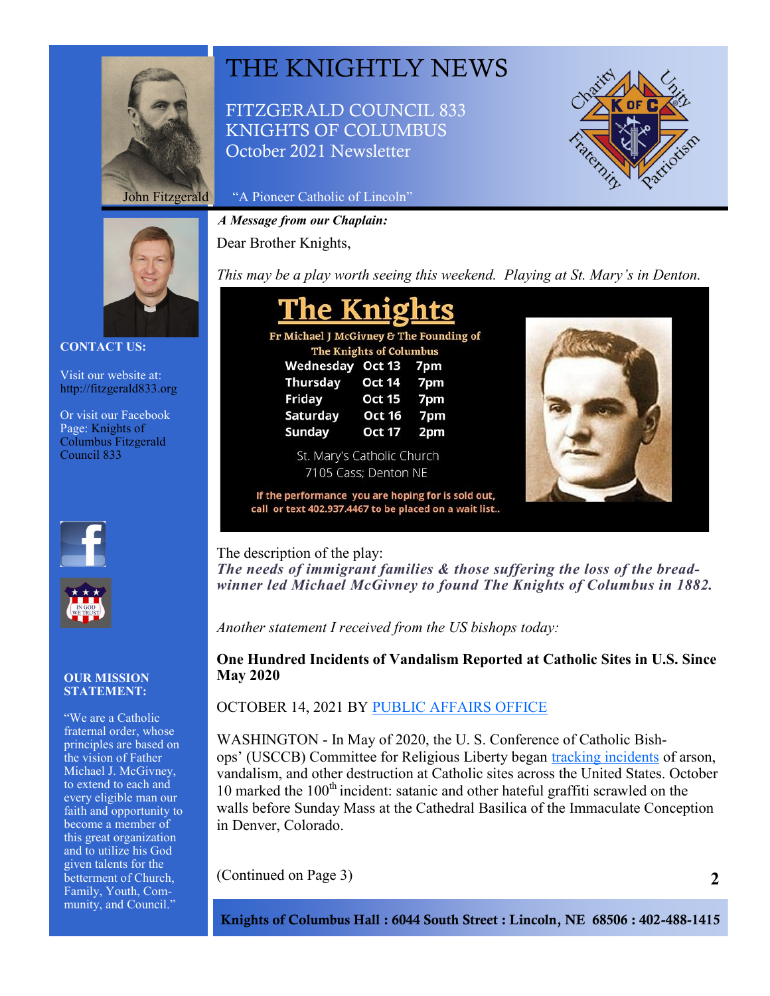

# THE KNIGHTLY NEWS

FITZGERALD COUNCIL 833 KNIGHTS OF COLUMBUS October 2021 Newsletter



John Fitzgerald "A Pioneer Catholic of Lincoln"

*A Message from our Chaplain:*

Dear Brother Knights,

**CONTACT US:**

Visit our website at: http://fitzgerald833.org

Or visit our Facebook Page: Knights of Columbus Fitzgerald Council 833





### **OUR MISSION STATEMENT:**

"We are a Catholic fraternal order, whose principles are based on the vision of Father Michael J. McGivney, to extend to each and every eligible man our faith and opportunity to become a member of this great organization and to utilize his God given talents for the betterment of Church, Family, Youth, Community, and Council."

*This may be a play worth seeing this weekend. Playing at St. Mary's in Denton.*

| <b>The Knights</b>                      |               |     |  |  |
|-----------------------------------------|---------------|-----|--|--|
| Fr Michael J McGivney & The Founding of |               |     |  |  |
| The Knights of Columbus                 |               |     |  |  |
| Wednesday Oct 13 7pm                    |               |     |  |  |
| <b>Thursday</b>                         | <b>Oct 14</b> | 7pm |  |  |
| Friday                                  | <b>Oct 15</b> | 7pm |  |  |
| Saturday                                | <b>Oct 16</b> | 7pm |  |  |
| Sunday                                  | <b>Oct 17</b> | 2pm |  |  |

St. Mary's Catholic Church 7105 Cass; Denton NE

If the performance you are hoping for is sold out, call or text 402.937.4467 to be placed on a wait list..

The description of the play:

*The needs of immigrant families & those suffering the loss of the breadwinner led Michael McGivney to found The Knights of Columbus in 1882.*

*Another statement I received from the US bishops today:*

**One Hundred Incidents of Vandalism Reported at Catholic Sites in U.S. Since May 2020**

OCTOBER 14, 2021 BY [PUBLIC AFFAIRS OFFICE](https://www.usccb.org/offices/public-affairs)

WASHINGTON - In May of 2020, the U. S. Conference of Catholic Bishops' (USCCB) Committee for Religious Liberty began [tracking incidents](https://www.usccb.org/committees/religious-liberty/Backgrounder-Attacks-on-Catholic-Churches-in-US) of arson, vandalism, and other destruction at Catholic sites across the United States. October 10 marked the  $100<sup>th</sup>$  incident: satanic and other hateful graffiti scrawled on the walls before Sunday Mass at the Cathedral Basilica of the Immaculate Conception in Denver, Colorado.

(Continued on Page 3)

Knights of Columbus Hall : 6044 South Street : Lincoln, NE 68506 : 402-488-1415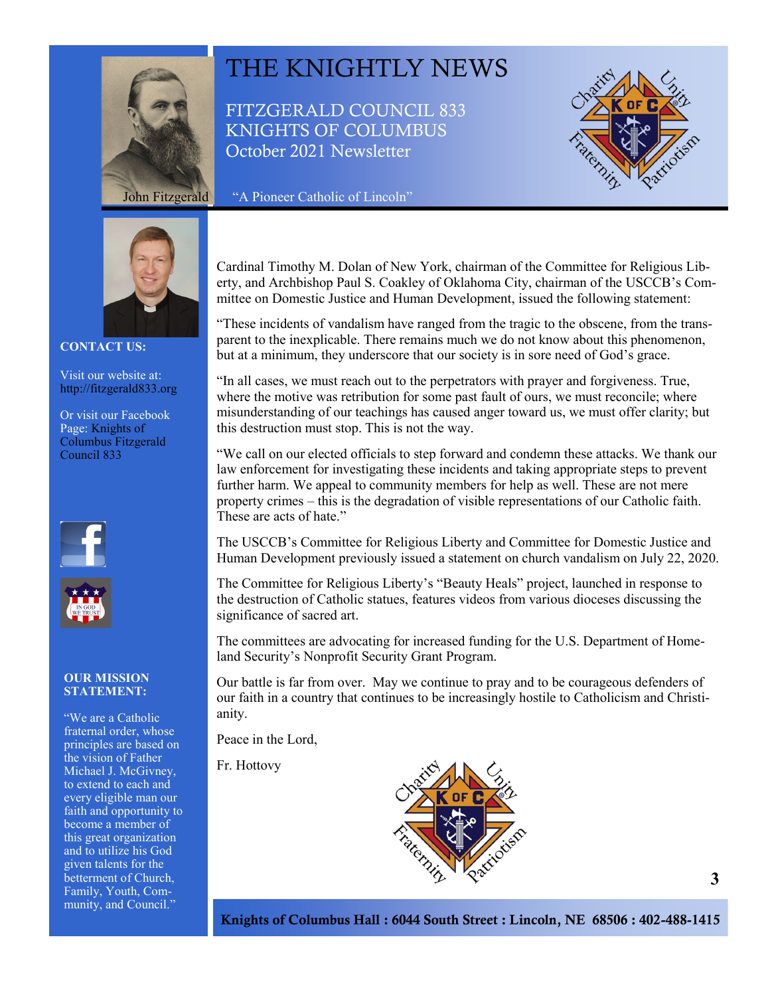

# THE KNIGHTLY NEWS

FITZGERALD COUNCIL 833 KNIGHTS OF COLUMBUS October 2021 Newsletter





**CONTACT US:**

Visit our website at: http://fitzgerald833.org

Or visit our Facebook Page: Knights of Columbus Fitzgerald Council 833





#### **OUR MISSION STATEMENT:**

"We are a Catholic fraternal order, whose principles are based on the vision of Father Michael J. McGivney, to extend to each and every eligible man our faith and opportunity to become a member of this great organization and to utilize his God given talents for the betterment of Church, Family, Youth, Community, and Council."

Cardinal Timothy M. Dolan of New York, chairman of the Committee for Religious Liberty, and Archbishop Paul S. Coakley of Oklahoma City, chairman of the USCCB's Committee on Domestic Justice and Human Development, issued the following statement:

"These incidents of vandalism have ranged from the tragic to the obscene, from the transparent to the inexplicable. There remains much we do not know about this phenomenon, but at a minimum, they underscore that our society is in sore need of God's grace.

"In all cases, we must reach out to the perpetrators with prayer and forgiveness. True, where the motive was retribution for some past fault of ours, we must reconcile; where misunderstanding of our teachings has caused anger toward us, we must offer clarity; but this destruction must stop. This is not the way.

"We call on our elected officials to step forward and condemn these attacks. We thank our law enforcement for investigating these incidents and taking appropriate steps to prevent further harm. We appeal to community members for help as well. These are not mere property crimes – this is the degradation of visible representations of our Catholic faith. These are acts of hate."

The USCCB's Committee for Religious Liberty and Committee for Domestic Justice and Human Development previously issued a statement on church vandalism on July 22, 2020.

The Committee for Religious Liberty's "Beauty Heals" project, launched in response to the destruction of Catholic statues, features videos from various dioceses discussing the significance of sacred art.

The committees are advocating for increased funding for the U.S. Department of Homeland Security's Nonprofit Security Grant Program.

Our battle is far from over. May we continue to pray and to be courageous defenders of our faith in a country that continues to be increasingly hostile to Catholicism and Christianity.

Peace in the Lord,

Fr. Hottovy



Knights of Columbus Hall : 6044 South Street : Lincoln, NE 68506 : 402-488-1415